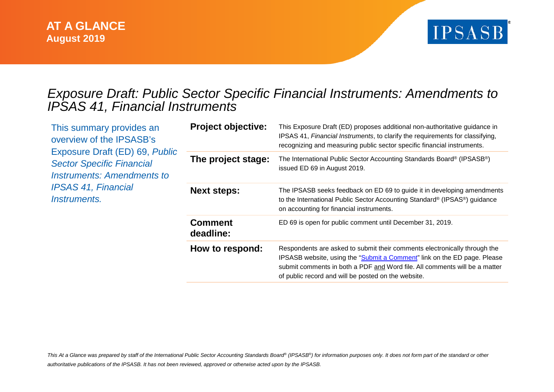

## *Exposure Draft: Public Sector Specific Financial Instruments: Amendments to IPSAS 41, Financial Instruments*

| This summary provides an<br>overview of the IPSASB's<br>Exposure Draft (ED) 69, Public<br><b>Sector Specific Financial</b><br>Instruments: Amendments to<br><b>IPSAS 41, Financial</b><br><i>Instruments.</i> | <b>Project objective:</b>   | This Exposure Draft (ED) proposes additional non-authoritative guidance in<br>IPSAS 41, Financial Instruments, to clarify the requirements for classifying,<br>recognizing and measuring public sector specific financial instruments.                                                     |
|---------------------------------------------------------------------------------------------------------------------------------------------------------------------------------------------------------------|-----------------------------|--------------------------------------------------------------------------------------------------------------------------------------------------------------------------------------------------------------------------------------------------------------------------------------------|
|                                                                                                                                                                                                               | The project stage:          | The International Public Sector Accounting Standards Board® (IPSASB®)<br>issued ED 69 in August 2019.                                                                                                                                                                                      |
|                                                                                                                                                                                                               | <b>Next steps:</b>          | The IPSASB seeks feedback on ED 69 to guide it in developing amendments<br>to the International Public Sector Accounting Standard® (IPSAS®) guidance<br>on accounting for financial instruments.                                                                                           |
|                                                                                                                                                                                                               | <b>Comment</b><br>deadline: | ED 69 is open for public comment until December 31, 2019.                                                                                                                                                                                                                                  |
|                                                                                                                                                                                                               | How to respond:             | Respondents are asked to submit their comments electronically through the<br>IPSASB website, using the "Submit a Comment" link on the ED page. Please<br>submit comments in both a PDF and Word file. All comments will be a matter<br>of public record and will be posted on the website. |

*This At a Glance was prepared by staff of the International Public Sector Accounting Standards Board® (IPSASB®) for information purposes only. It does not form part of the standard or other authoritative publications of the IPSASB. It has not been reviewed, approved or otherwise acted upon by the IPSASB.*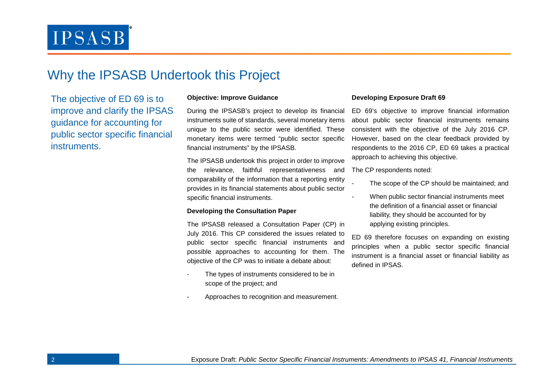# **IPSASB**

## Why the IPSASB Undertook this Project

The objective of ED 69 is to improve and clarify the IPSAS guidance for accounting for public sector specific financial instruments.

#### **Objective: Improve Guidance**

During the IPSASB's project to develop its financial instruments suite of standards, several monetary items unique to the public sector were identified. These monetary items were termed "public sector specific financial instruments" by the IPSASB.

The IPSASB undertook this project in order to improve the relevance, faithful representativeness and comparability of the information that a reporting entity provides in its financial statements about public sector specific financial instruments.

#### **Developing the Consultation Paper**

The IPSASB released a Consultation Paper (CP) in July 2016. This CP considered the issues related to public sector specific financial instruments and possible approaches to accounting for them. The objective of the CP was to initiate a debate about:

- The types of instruments considered to be in scope of the project; and
- Approaches to recognition and measurement.

#### **Developing Exposure Draft 69**

ED 69's objective to improve financial information about public sector financial instruments remains consistent with the objective of the July 2016 CP. However, based on the clear feedback provided by respondents to the 2016 CP, ED 69 takes a practical approach to achieving this objective.

The CP respondents noted:

- The scope of the CP should be maintained; and
- When public sector financial instruments meet the definition of a financial asset or financial liability, they should be accounted for by applying existing principles.

ED 69 therefore focuses on expanding on existing principles when a public sector specific financial instrument is a financial asset or financial liability as defined in IPSAS.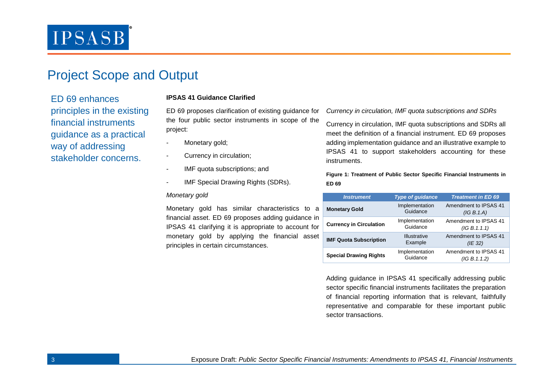# **IPSASB**

## Project Scope and Output

ED 69 enhances principles in the existing financial instruments guidance as a practical way of addressing stakeholder concerns.

### **IPSAS 41 Guidance Clarified**

ED 69 proposes clarification of existing guidance for the four public sector instruments in scope of the project:

- Monetary gold;
- Currency in circulation;
- IMF quota subscriptions; and
- IMF Special Drawing Rights (SDRs).

#### *Monetary gold*

Monetary gold has similar characteristics to a financial asset. ED 69 proposes adding guidance in IPSAS 41 clarifying it is appropriate to account for monetary gold by applying the financial asset principles in certain circumstances.

*Currency in circulation, IMF quota subscriptions and SDRs*

Currency in circulation, IMF quota subscriptions and SDRs all meet the definition of a financial instrument. ED 69 proposes adding implementation guidance and an illustrative example to IPSAS 41 to support stakeholders accounting for these instruments.

**Figure 1: Treatment of Public Sector Specific Financial Instruments in ED 69**

| <b>Instrument</b>              | <b>Type of guidance</b>        | <b>Treatment in ED 69</b>              |
|--------------------------------|--------------------------------|----------------------------------------|
| <b>Monetary Gold</b>           | Implementation<br>Guidance     | Amendment to IPSAS 41<br>(IG B. 1.A)   |
| <b>Currency in Circulation</b> | Implementation<br>Guidance     | Amendment to IPSAS 41<br>(IG B. 1.1.1) |
| <b>IMF Quota Subscription</b>  | <b>Illustrative</b><br>Example | Amendment to IPSAS 41<br>(IE 32)       |
| <b>Special Drawing Rights</b>  | Implementation<br>Guidance     | Amendment to IPSAS 41<br>(IG B. 1.1.2) |

Adding guidance in IPSAS 41 specifically addressing public sector specific financial instruments facilitates the preparation of financial reporting information that is relevant, faithfully representative and comparable for these important public sector transactions.